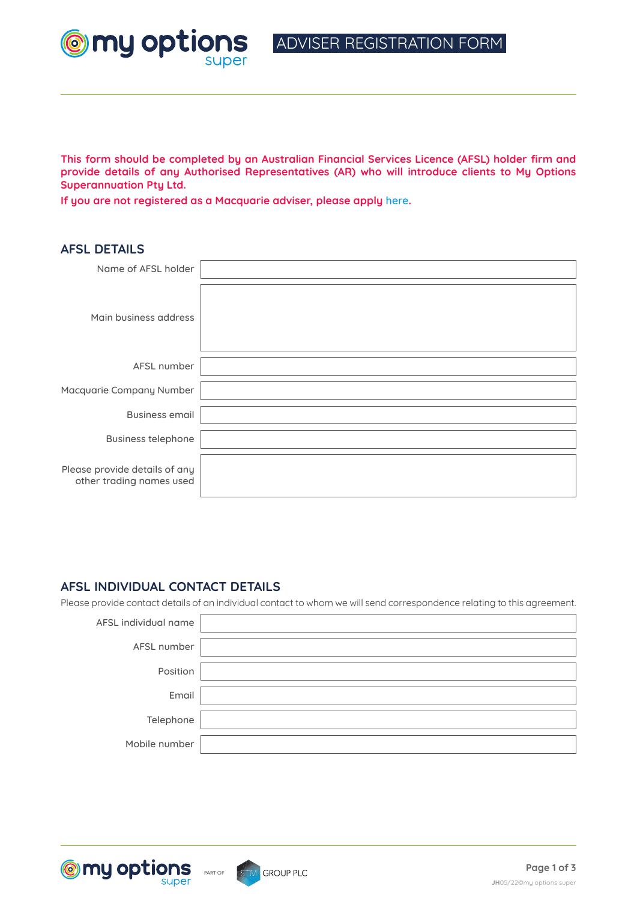ADVISER REGISTRATION FORM

**This form should be completed by an Australian Financial Services Licence (AFSL) holder firm and provide details of any Authorised Representatives (AR) who will introduce clients to My Options Superannuation Pty Ltd.**

**If you are not registered as a Macquarie adviser, please apply** [here](https://www.macquarie.com.au/assets/bfs/adviser-tools/docs/Adviser-registration form_v6.pdf)**.**

# **AFSL DETAILS**

**@my options** 

| Name of AFSL holder                                       |  |
|-----------------------------------------------------------|--|
| Main business address                                     |  |
| AFSL number                                               |  |
| Macquarie Company Number                                  |  |
| <b>Business email</b>                                     |  |
| <b>Business telephone</b>                                 |  |
| Please provide details of any<br>other trading names used |  |

## **AFSL INDIVIDUAL CONTACT DETAILS**

Please provide contact details of an individual contact to whom we will send correspondence relating to this agreement.

| AFSL individual name |  |
|----------------------|--|
| AFSL number          |  |
| Position             |  |
| Email                |  |
| Telephone            |  |
| Mobile number        |  |



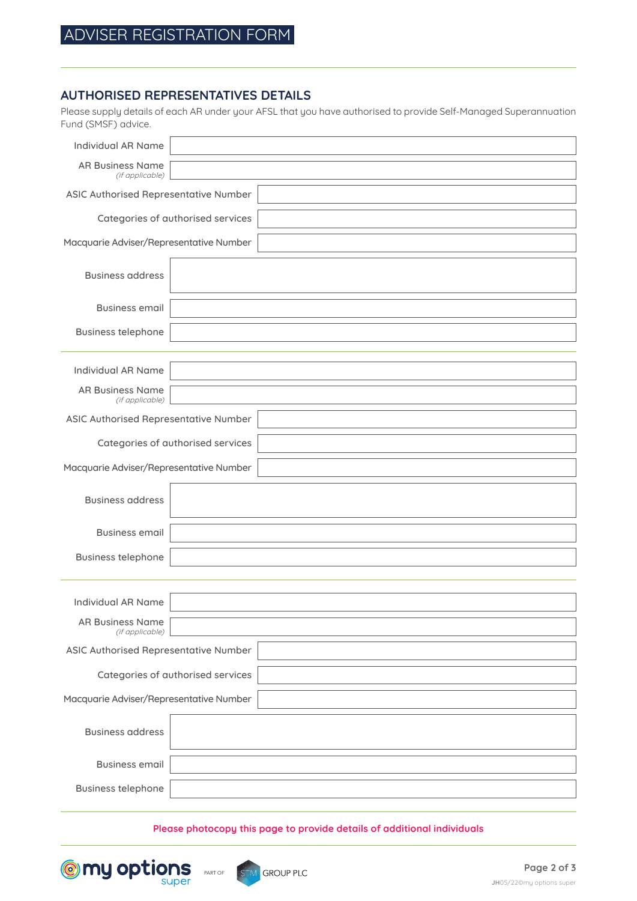## **AUTHORISED REPRESENTATIVES DETAILS**

Please supply details of each AR under your AFSL that you have authorised to provide Self-Managed Superannuation Fund (SMSF) advice.

| <b>Individual AR Name</b>                  |                                   |
|--------------------------------------------|-----------------------------------|
| <b>AR Business Name</b><br>(if applicable) |                                   |
| ASIC Authorised Representative Number      |                                   |
|                                            | Categories of authorised services |
| Macquarie Adviser/Representative Number    |                                   |
| <b>Business address</b>                    |                                   |
| <b>Business email</b>                      |                                   |
| <b>Business telephone</b>                  |                                   |
|                                            |                                   |
| <b>Individual AR Name</b>                  |                                   |
| <b>AR Business Name</b><br>(if applicable) |                                   |
| ASIC Authorised Representative Number      |                                   |
| Categories of authorised services          |                                   |
| Macquarie Adviser/Representative Number    |                                   |
| <b>Business address</b>                    |                                   |
| <b>Business email</b>                      |                                   |
| <b>Business telephone</b>                  |                                   |
|                                            |                                   |
| <b>Individual AR Name</b>                  |                                   |
| <b>AR Business Name</b><br>(if applicable) |                                   |
| ASIC Authorised Representative Number      |                                   |
|                                            | Categories of authorised services |
| Macquarie Adviser/Representative Number    |                                   |
| <b>Business address</b>                    |                                   |
| <b>Business email</b>                      |                                   |
| <b>Business telephone</b>                  |                                   |

#### **Please photocopy this page to provide details of additional individuals**